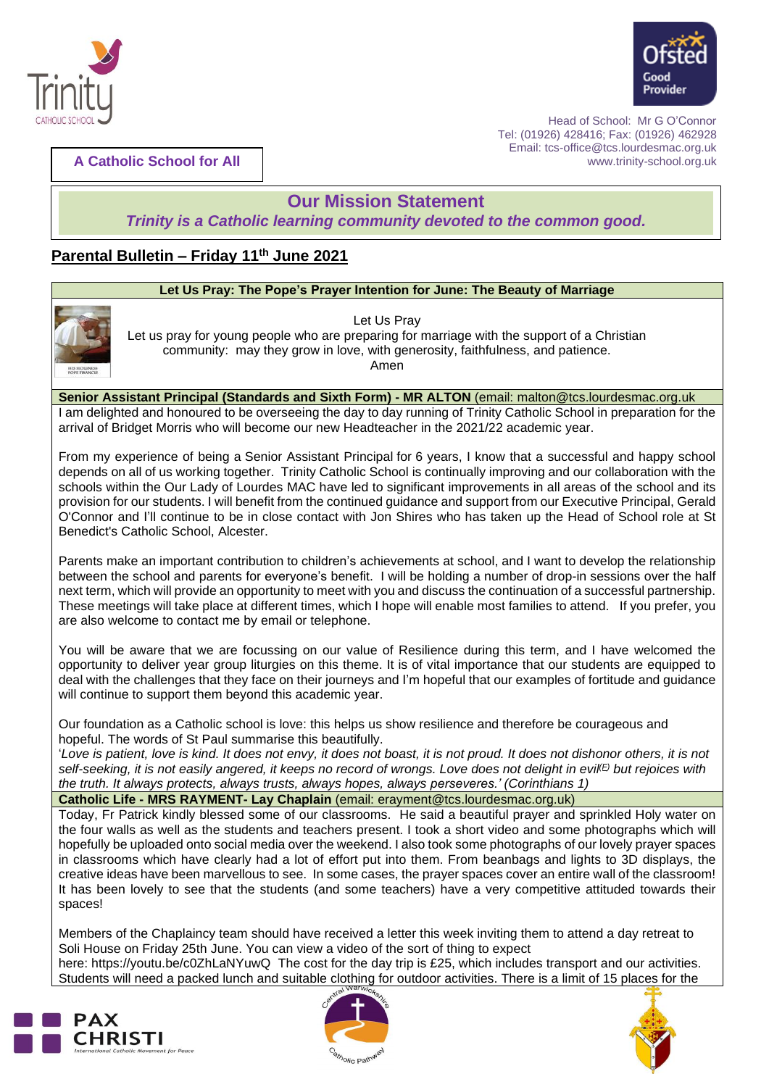



**A Catholic School for All**

Benedict's Catholic School, Alcester.

 Head of School: Mr G O'Connor Tel: (01926) 428416; Fax: (01926) 462928 Email: tcs-office@tcs.lourdesmac.org.uk www.trinity-school.org.uk

# **Our Mission Statement**

*Trinity is a Catholic learning community devoted to the common good.*

# **Parental Bulletin – Friday 11th June 2021**

## **Let Us Pray: The Pope's Prayer Intention for June: The Beauty of Marriage** Let Us Pray Let us pray for young people who are preparing for marriage with the support of a Christian community: may they grow in love, with generosity, faithfulness, and patience. Amen **Senior Assistant Principal (Standards and Sixth Form) - MR ALTON** (email: [malton@tcs.lourdesmac.org.uk](mailto:malton@tcs.lourdesmac.org.uk) I am delighted and honoured to be overseeing the day to day running of Trinity Catholic School in preparation for the arrival of Bridget Morris who will become our new Headteacher in the 2021/22 academic year. From my experience of being a Senior Assistant Principal for 6 years, I know that a successful and happy school depends on all of us working together. Trinity Catholic School is continually improving and our collaboration with the schools within the Our Lady of Lourdes MAC have led to significant improvements in all areas of the school and its provision for our students. I will benefit from the continued guidance and support from our Executive Principal, Gerald O'Connor and I'll continue to be in close contact with Jon Shires who has taken up the Head of School role at St

Parents make an important contribution to children's achievements at school, and I want to develop the relationship between the school and parents for everyone's benefit. I will be holding a number of drop-in sessions over the half next term, which will provide an opportunity to meet with you and discuss the continuation of a successful partnership. These meetings will take place at different times, which I hope will enable most families to attend. If you prefer, you are also welcome to contact me by email or telephone.

You will be aware that we are focussing on our value of Resilience during this term, and I have welcomed the opportunity to deliver year group liturgies on this theme. It is of vital importance that our students are equipped to deal with the challenges that they face on their journeys and I'm hopeful that our examples of fortitude and guidance will continue to support them beyond this academic year.

Our foundation as a Catholic school is love: this helps us show resilience and therefore be courageous and hopeful. The words of St Paul summarise this beautifully.

'Love is patient, love is kind. It does not envy, it does not boast, it is not proud. It does not dishonor others, it is not self-seeking, it is not easily angered, it keeps no record of wrongs. Love does not delight in evil<sup>(E)</sup> but rejoices with *the truth. It always protects, always trusts, always hopes, always perseveres.' (Corinthians 1)*

**Catholic Life - MRS RAYMENT- Lay Chaplain** (email: erayment@tcs.lourdesmac.org.uk)

Today, Fr Patrick kindly blessed some of our classrooms. He said a beautiful prayer and sprinkled Holy water on the four walls as well as the students and teachers present. I took a short video and some photographs which will hopefully be uploaded onto social media over the weekend. I also took some photographs of our lovely prayer spaces in classrooms which have clearly had a lot of effort put into them. From beanbags and lights to 3D displays, the creative ideas have been marvellous to see. In some cases, the prayer spaces cover an entire wall of the classroom! It has been lovely to see that the students (and some teachers) have a very competitive attituded towards their spaces!

Members of the Chaplaincy team should have received a letter this week inviting them to attend a day retreat to Soli House on Friday 25th June. You can view a video of the sort of thing to expect here: <https://youtu.be/c0ZhLaNYuwQ>The cost for the day trip is £25, which includes transport and our activities. Students will need a packed lunch and suitable clothing for outdoor activities. There is a limit of 15 places for the





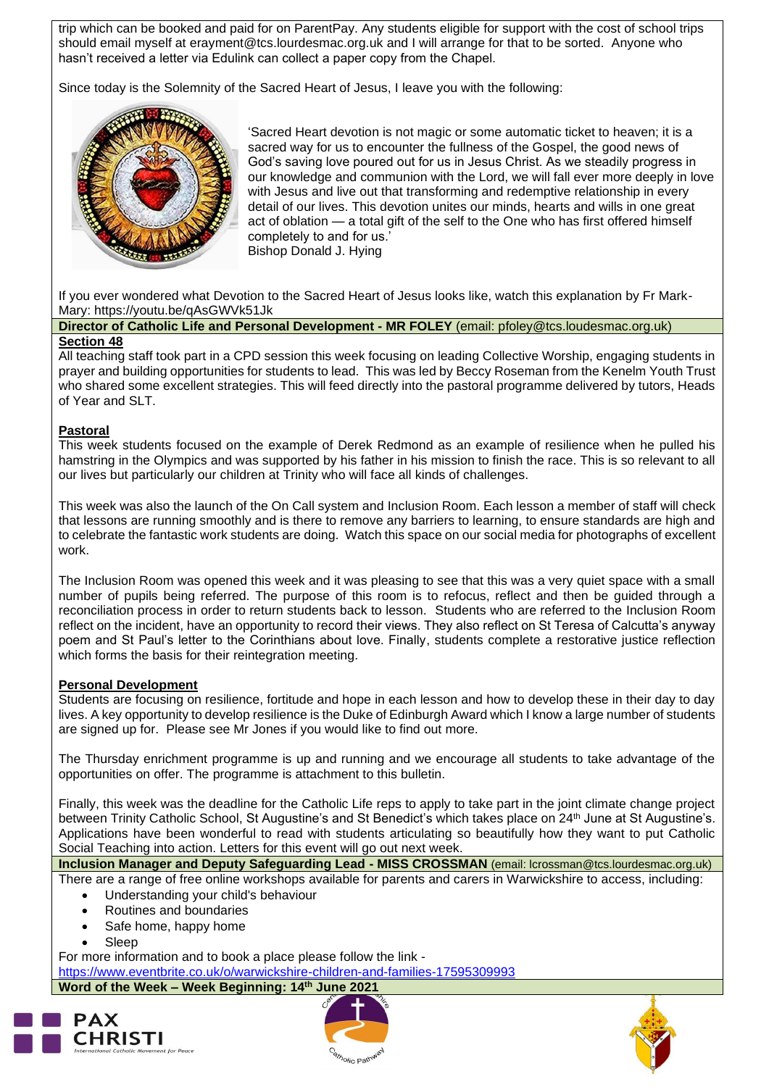trip which can be booked and paid for on ParentPay. Any students eligible for support with the cost of school trips should email myself at [erayment@tcs.lourdesmac.org.uk](mailto:erayment@tcs.lourdesmac.org.uk) and I will arrange for that to be sorted. Anyone who hasn't received a letter via Edulink can collect a paper copy from the Chapel.

Since today is the Solemnity of the Sacred Heart of Jesus, I leave you with the following:



'Sacred Heart devotion is not magic or some automatic ticket to heaven; it is a sacred way for us to encounter the fullness of the Gospel, the good news of God's saving love poured out for us in Jesus Christ. As we steadily progress in our knowledge and communion with the Lord, we will fall ever more deeply in love with Jesus and live out that transforming and redemptive relationship in every detail of our lives. This devotion unites our minds, hearts and wills in one great act of oblation — a total gift of the self to the One who has first offered himself completely to and for us.' Bishop Donald J. Hying

If you ever wondered what Devotion to the Sacred Heart of Jesus looks like, watch this explanation by Fr Mark-Mary: <https://youtu.be/qAsGWVk51Jk>

**Director of Catholic Life and Personal Development - MR FOLEY** (email: pfoley@tcs.loudesmac.org.uk) **Section 48**

All teaching staff took part in a CPD session this week focusing on leading Collective Worship, engaging students in prayer and building opportunities for students to lead. This was led by Beccy Roseman from the Kenelm Youth Trust who shared some excellent strategies. This will feed directly into the pastoral programme delivered by tutors, Heads of Year and SLT.

#### **Pastoral**

This week students focused on the example of Derek Redmond as an example of resilience when he pulled his hamstring in the Olympics and was supported by his father in his mission to finish the race. This is so relevant to all our lives but particularly our children at Trinity who will face all kinds of challenges.

This week was also the launch of the On Call system and Inclusion Room. Each lesson a member of staff will check that lessons are running smoothly and is there to remove any barriers to learning, to ensure standards are high and to celebrate the fantastic work students are doing. Watch this space on our social media for photographs of excellent work.

The Inclusion Room was opened this week and it was pleasing to see that this was a very quiet space with a small number of pupils being referred. The purpose of this room is to refocus, reflect and then be guided through a reconciliation process in order to return students back to lesson. Students who are referred to the Inclusion Room reflect on the incident, have an opportunity to record their views. They also reflect on St Teresa of Calcutta's anyway poem and St Paul's letter to the Corinthians about love. Finally, students complete a restorative justice reflection which forms the basis for their reintegration meeting.

#### **Personal Development**

Students are focusing on resilience, fortitude and hope in each lesson and how to develop these in their day to day lives. A key opportunity to develop resilience is the Duke of Edinburgh Award which I know a large number of students are signed up for. Please see Mr Jones if you would like to find out more.

The Thursday enrichment programme is up and running and we encourage all students to take advantage of the opportunities on offer. The programme is attachment to this bulletin.

Finally, this week was the deadline for the Catholic Life reps to apply to take part in the joint climate change project between Trinity Catholic School, St Augustine's and St Benedict's which takes place on 24<sup>th</sup> June at St Augustine's. Applications have been wonderful to read with students articulating so beautifully how they want to put Catholic Social Teaching into action. Letters for this event will go out next week.

**Inclusion Manager and Deputy Safeguarding Lead - MISS CROSSMAN** (email: lcrossman@tcs.lourdesmac.org.uk)

There are a range of free online workshops available for parents and carers in Warwickshire to access, including: • Understanding your child's behaviour

- Routines and boundaries
- Safe home, happy home
- Sleep

For more information and to book a place please follow the link -

<https://www.eventbrite.co.uk/o/warwickshire-children-and-families-17595309993>

## **Word of the Week – Week Beginning: 14th June 2021**





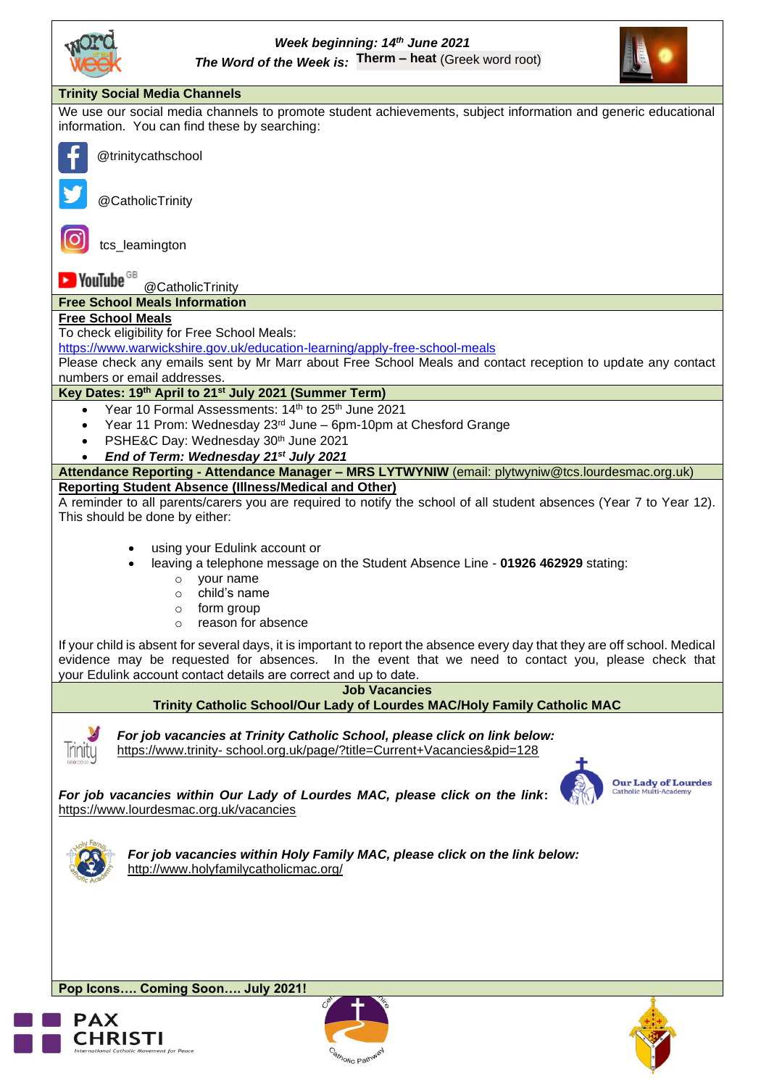



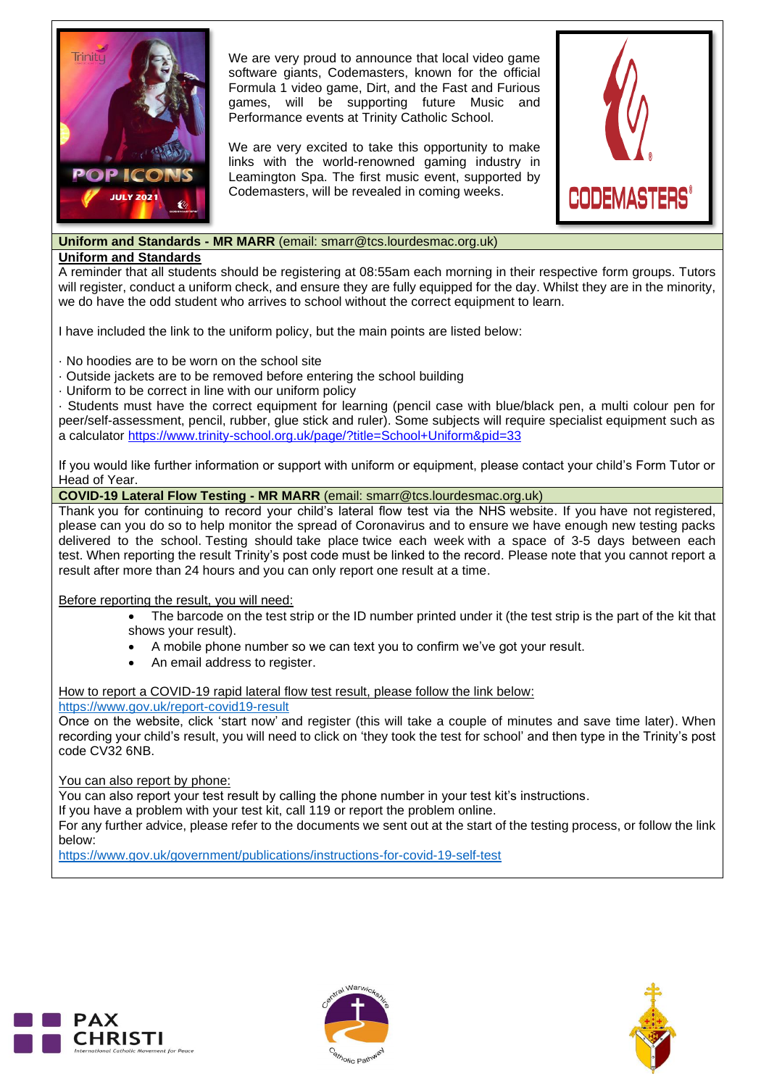

We are very proud to announce that local video game software giants, Codemasters, known for the official Formula 1 video game, Dirt, and the Fast and Furious games, will be supporting future Music and Performance events at Trinity Catholic School.

We are very excited to take this opportunity to make links with the world-renowned gaming industry in Leamington Spa. The first music event, supported by Codemasters, will be revealed in coming weeks.



## **Uniform and Standards - MR MARR** (email: smarr@tcs.lourdesmac.org.uk)

#### **Uniform and Standards**

A reminder that all students should be registering at 08:55am each morning in their respective form groups. Tutors will register, conduct a uniform check, and ensure they are fully equipped for the day. Whilst they are in the minority, we do have the odd student who arrives to school without the correct equipment to learn.

I have included the link to the uniform policy, but the main points are listed below:

· No hoodies are to be worn on the school site

· Outside jackets are to be removed before entering the school building

· Uniform to be correct in line with our uniform policy

· Students must have the correct equipment for learning (pencil case with blue/black pen, a multi colour pen for peer/self-assessment, pencil, rubber, glue stick and ruler). Some subjects will require specialist equipment such as a calculator<https://www.trinity-school.org.uk/page/?title=School+Uniform&pid=33>

If you would like further information or support with uniform or equipment, please contact your child's Form Tutor or Head of Year.

**COVID-19 Lateral Flow Testing - MR MARR** (email: [smarr@tcs.lourdesmac.org.uk\)](mailto:smarr@tcs.lourdesmac.org.uk)

Thank you for continuing to record your child's lateral flow test via the NHS website. If you have not registered, please can you do so to help monitor the spread of Coronavirus and to ensure we have enough new testing packs delivered to the school. Testing should take place twice each week with a space of 3-5 days between each test. When reporting the result Trinity's post code must be linked to the record. Please note that you cannot report a result after more than 24 hours and you can only report one result at a time.

## Before reporting the result, you will need:

- The barcode on the test strip or the ID number printed under it (the test strip is the part of the kit that shows your result).
- A mobile phone number so we can text you to confirm we've got your result.
- An email address to register.

## How to report a COVID-19 rapid lateral flow test result, please follow the link below:

<https://www.gov.uk/report-covid19-result>

Once on the website, click 'start now' and register (this will take a couple of minutes and save time later). When recording your child's result, you will need to click on 'they took the test for school' and then type in the Trinity's post code CV32 6NB.

## You can also report by phone:

You can also report your test result by calling the phone number in your test kit's instructions.

If you have a problem with your test kit, call 119 or report the problem online.

For any further advice, please refer to the documents we sent out at the start of the testing process, or follow the link below:

<https://www.gov.uk/government/publications/instructions-for-covid-19-self-test>





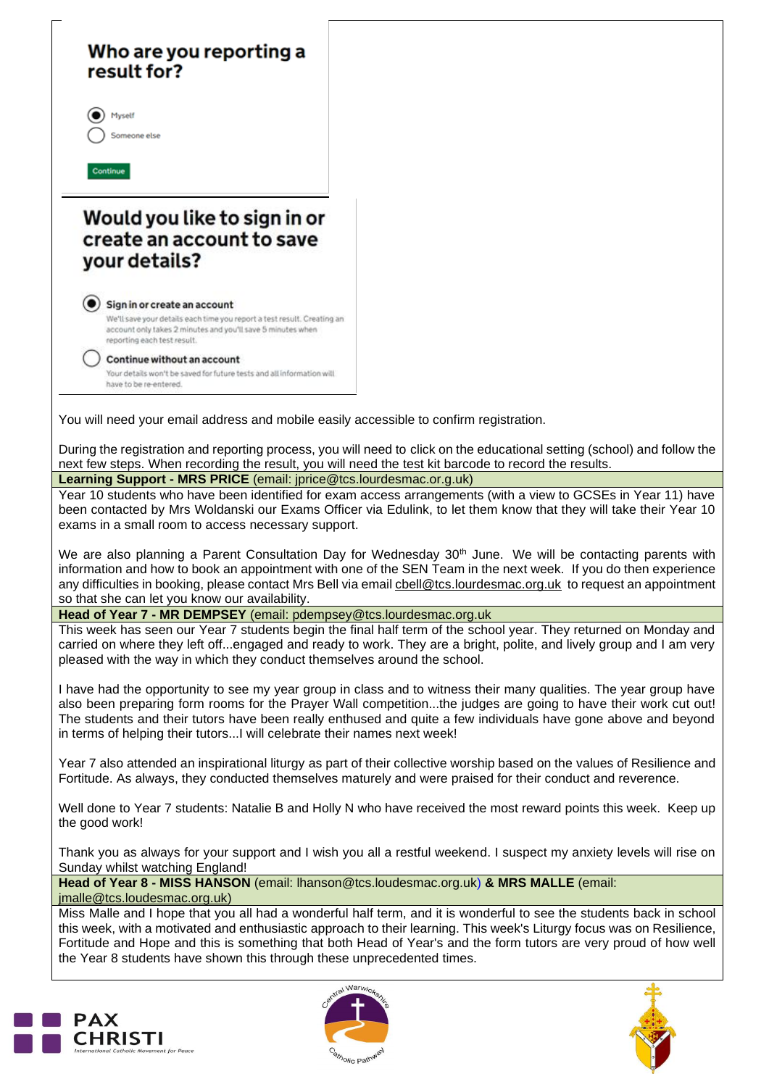# Who are you reporting a result for?



Continue

# Would you like to sign in or create an account to save vour details?

#### Sign in or create an account

We'll save your details each time you report a test result. Creating an account only takes 2 minutes and you'll save 5 minutes when reporting each test result.

Continue without an account Your details won't be saved for future tests and all information will have to be re-entered.

You will need your email address and mobile easily accessible to confirm registration.

During the registration and reporting process, you will need to click on the educational setting (school) and follow the next few steps. When recording the result, you will need the test kit barcode to record the results.

**Learning Support - MRS PRICE** (email: jprice@tcs.lourdesmac.or.g.uk)

Year 10 students who have been identified for exam access arrangements (with a view to GCSEs in Year 11) have been contacted by Mrs Woldanski our Exams Officer via Edulink, to let them know that they will take their Year 10 exams in a small room to access necessary support.

We are also planning a Parent Consultation Day for Wednesday  $30<sup>th</sup>$  June. We will be contacting parents with information and how to book an appointment with one of the SEN Team in the next week. If you do then experience any difficulties in booking, please contact Mrs Bell via email [cbell@tcs.lourdesmac.org.uk](mailto:cbell@tcs.lourdesmac.org.uk) to request an appointment so that she can let you know our availability.

## **Head of Year 7 - MR DEMPSEY** (email: [pdempsey@tcs.lourdesmac.org.uk](mailto:pdempsey@tcs.lourdesmac.org.uk)

This week has seen our Year 7 students begin the final half term of the school year. They returned on Monday and carried on where they left off...engaged and ready to work. They are a bright, polite, and lively group and I am very pleased with the way in which they conduct themselves around the school.

I have had the opportunity to see my year group in class and to witness their many qualities. The year group have also been preparing form rooms for the Prayer Wall competition...the judges are going to have their work cut out! The students and their tutors have been really enthused and quite a few individuals have gone above and beyond in terms of helping their tutors...I will celebrate their names next week!

Year 7 also attended an inspirational liturgy as part of their collective worship based on the values of Resilience and Fortitude. As always, they conducted themselves maturely and were praised for their conduct and reverence.

Well done to Year 7 students: Natalie B and Holly N who have received the most reward points this week. Keep up the good work!

Thank you as always for your support and I wish you all a restful weekend. I suspect my anxiety levels will rise on Sunday whilst watching England!

**Head of Year 8 - MISS HANSON** (email: [lhanson@tcs.loudesmac.org.uk\)](mailto:lhanson@tcs.loudesmac.org.uk) **& MRS MALLE** (email: [jmalle@tcs.loudesmac.org.uk\)](mailto:jmalle@tcs.loudesmac.org.uk)

Miss Malle and I hope that you all had a wonderful half term, and it is wonderful to see the students back in school this week, with a motivated and enthusiastic approach to their learning. This week's Liturgy focus was on Resilience, Fortitude and Hope and this is something that both Head of Year's and the form tutors are very proud of how well the Year 8 students have shown this through these unprecedented times.





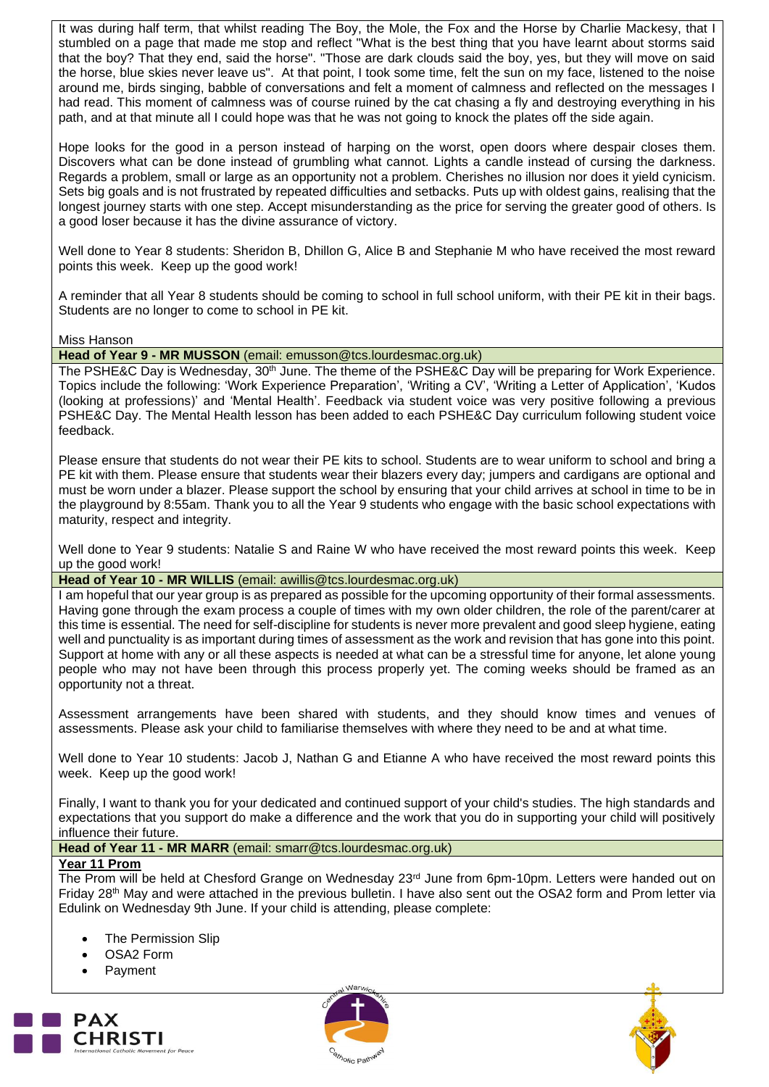It was during half term, that whilst reading The Boy, the Mole, the Fox and the Horse by Charlie Mackesy, that I stumbled on a page that made me stop and reflect "What is the best thing that you have learnt about storms said that the boy? That they end, said the horse". "Those are dark clouds said the boy, yes, but they will move on said the horse, blue skies never leave us". At that point, I took some time, felt the sun on my face, listened to the noise around me, birds singing, babble of conversations and felt a moment of calmness and reflected on the messages I had read. This moment of calmness was of course ruined by the cat chasing a fly and destroying everything in his path, and at that minute all I could hope was that he was not going to knock the plates off the side again.

Hope looks for the good in a person instead of harping on the worst, open doors where despair closes them. Discovers what can be done instead of grumbling what cannot. Lights a candle instead of cursing the darkness. Regards a problem, small or large as an opportunity not a problem. Cherishes no illusion nor does it yield cynicism. Sets big goals and is not frustrated by repeated difficulties and setbacks. Puts up with oldest gains, realising that the longest journey starts with one step. Accept misunderstanding as the price for serving the greater good of others. Is a good loser because it has the divine assurance of victory.

Well done to Year 8 students: Sheridon B, Dhillon G, Alice B and Stephanie M who have received the most reward points this week. Keep up the good work!

A reminder that all Year 8 students should be coming to school in full school uniform, with their PE kit in their bags. Students are no longer to come to school in PE kit.

Miss Hanson

**Head of Year 9 - MR MUSSON** (email: [emusson@tcs.lourdesmac.org.uk\)](mailto:emusson@tcs.lourdesmac.org.uk)

The PSHE&C Day is Wednesday, 30<sup>th</sup> June. The theme of the PSHE&C Day will be preparing for Work Experience. Topics include the following: 'Work Experience Preparation', 'Writing a CV', 'Writing a Letter of Application', 'Kudos (looking at professions)' and 'Mental Health'. Feedback via student voice was very positive following a previous PSHE&C Day. The Mental Health lesson has been added to each PSHE&C Day curriculum following student voice feedback.

Please ensure that students do not wear their PE kits to school. Students are to wear uniform to school and bring a PE kit with them. Please ensure that students wear their blazers every day; jumpers and cardigans are optional and must be worn under a blazer. Please support the school by ensuring that your child arrives at school in time to be in the playground by 8:55am. Thank you to all the Year 9 students who engage with the basic school expectations with maturity, respect and integrity.

Well done to Year 9 students: Natalie S and Raine W who have received the most reward points this week. Keep up the good work!

#### **Head of Year 10 - MR WILLIS** (email: [awillis@tcs.lourdesmac.org.uk\)](mailto:awillis@tcs.lourdesmac.org.uk)

I am hopeful that our year group is as prepared as possible for the upcoming opportunity of their formal assessments. Having gone through the exam process a couple of times with my own older children, the role of the parent/carer at this time is essential. The need for self-discipline for students is never more prevalent and good sleep hygiene, eating well and punctuality is as important during times of assessment as the work and revision that has gone into this point. Support at home with any or all these aspects is needed at what can be a stressful time for anyone, let alone young people who may not have been through this process properly yet. The coming weeks should be framed as an opportunity not a threat.

Assessment arrangements have been shared with students, and they should know times and venues of assessments. Please ask your child to familiarise themselves with where they need to be and at what time.

Well done to Year 10 students: Jacob J, Nathan G and Etianne A who have received the most reward points this week. Keep up the good work!

Finally, I want to thank you for your dedicated and continued support of your child's studies. The high standards and expectations that you support do make a difference and the work that you do in supporting your child will positively influence their future.

**Head of Year 11 - MR MARR** (email: [smarr@tcs.lourdesmac.org.uk\)](mailto:smarr@tcs.lourdesmac.org.uk)

## **Year 11 Prom**

The Prom will be held at Chesford Grange on Wednesday 23rd June from 6pm-10pm. Letters were handed out on Friday 28th May and were attached in the previous bulletin. I have also sent out the OSA2 form and Prom letter via Edulink on Wednesday 9th June. If your child is attending, please complete:

- **The Permission Slip**
- OSA2 Form
- **Payment**